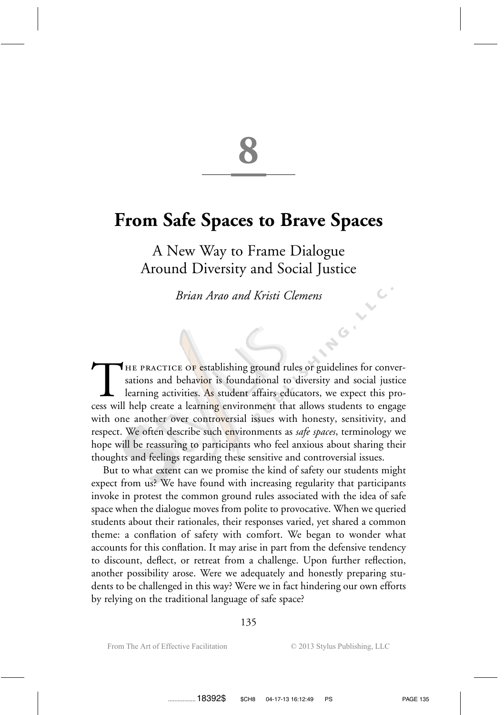# **From Safe Spaces to Brave Spaces**

**8**

A New Way to Frame Dialogue Around Diversity and Social Justice

*Brian Arao and Kristi Clemens*

THE PRACTICE OF establishing ground rules or guidelines for conversations and behavior is foundational to diversity and social justice learning activities. As student affairs educators, we expect this process will help cre sations and behav<mark>io</mark>r is foundational to diversity and social justice learning activities. As student affairs educators, we expect this process will help create a learning environment that allows students to engage with one another over controversial issues with honesty, sensitivity, and respect. We often describe such environments as *safe spaces*, terminology we hope will be reassuring to participants who feel anxious about sharing their thoughts and feelings regarding these sensitive and controversial issues.

But to what extent can we promise the kind of safety our students might expect from us? We have found with increasing regularity that participants invoke in protest the common ground rules associated with the idea of safe space when the dialogue moves from polite to provocative. When we queried students about their rationales, their responses varied, yet shared a common theme: a conflation of safety with comfort. We began to wonder what accounts for this conflation. It may arise in part from the defensive tendency to discount, deflect, or retreat from a challenge. Upon further reflection, another possibility arose. Were we adequately and honestly preparing students to be challenged in this way? Were we in fact hindering our own efforts by relying on the traditional language of safe space?

**HOI**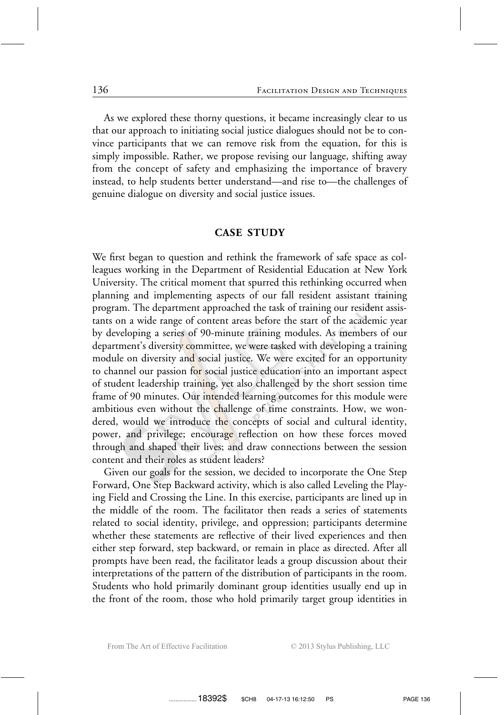As we explored these thorny questions, it became increasingly clear to us that our approach to initiating social justice dialogues should not be to convince participants that we can remove risk from the equation, for this is simply impossible. Rather, we propose revising our language, shifting away from the concept of safety and emphasizing the importance of bravery instead, to help students better understand—and rise to—the challenges of genuine dialogue on diversity and social justice issues.

### **CASE STUDY**

We first began to question and rethink the framework of safe space as colleagues working in the Department of Residential Education at New York University. The critical moment that spurred this rethinking occurred when planning and implementing aspects of our fall resident assistant training program. The department approached the task of training our resident assistants on a wide range of content areas before the start of the academic year by developing a series of 90-minute training modules. As members of our department's diversity committee, we were tasked with developing a training module on diversity and social justice. We were excited for an opportunity to channel our passion for social justice education into an important aspect of student leadership training, yet also challenged by the short session time frame of 90 minutes. Our intended learning outcomes for this module were ambitious even without the challenge of time constraints. How, we wondered, would we introduce the concepts of social and cultural identity, power, and privilege; encourage reflection on how these forces moved through and shaped their lives; and draw connections between the session content and their roles as student leaders?

Given our goals for the session, we decided to incorporate the One Step Forward, One Step Backward activity, which is also called Leveling the Playing Field and Crossing the Line. In this exercise, participants are lined up in the middle of the room. The facilitator then reads a series of statements related to social identity, privilege, and oppression; participants determine whether these statements are reflective of their lived experiences and then either step forward, step backward, or remain in place as directed. After all prompts have been read, the facilitator leads a group discussion about their interpretations of the pattern of the distribution of participants in the room. Students who hold primarily dominant group identities usually end up in the front of the room, those who hold primarily target group identities in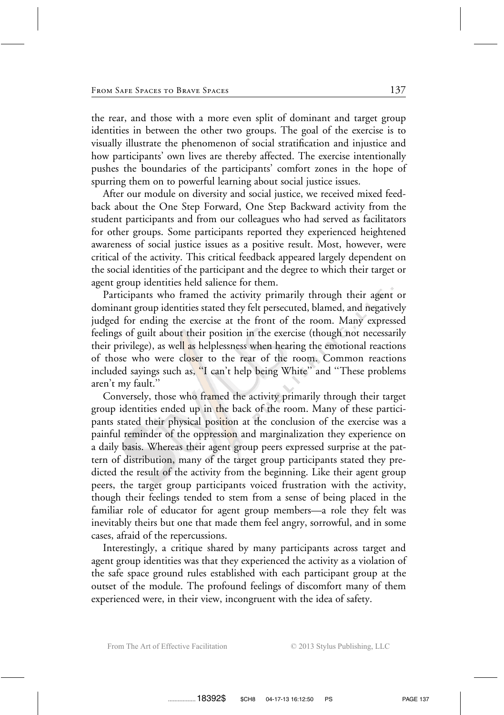the rear, and those with a more even split of dominant and target group identities in between the other two groups. The goal of the exercise is to visually illustrate the phenomenon of social stratification and injustice and how participants' own lives are thereby affected. The exercise intentionally pushes the boundaries of the participants' comfort zones in the hope of spurring them on to powerful learning about social justice issues.

After our module on diversity and social justice, we received mixed feedback about the One Step Forward, One Step Backward activity from the student participants and from our colleagues who had served as facilitators for other groups. Some participants reported they experienced heightened awareness of social justice issues as a positive result. Most, however, were critical of the activity. This critical feedback appeared largely dependent on the social identities of the participant and the degree to which their target or agent group identities held salience for them.

Participants who framed the activity primarily through their agent or dominant group identities stated they felt persecuted, blamed, and negatively judged for ending the exercise at the front of the room. Many expressed feelings of guilt about their position in the exercise (though not necessarily their privilege), as well as helplessness when hearing the emotional reactions of those who were closer to the rear of the room. Common reactions included sayings such as, ''I can't help being White'' and ''These problems aren't my fault.''

Conversely, those who framed the activity primarily through their target group identities ended up in the back of the room. Many of these participants stated their physical position at the conclusion of the exercise was a painful reminder of the oppression and marginalization they experience on a daily basis. Whereas their agent group peers expressed surprise at the pattern of distribution, many of the target group participants stated they predicted the result of the activity from the beginning. Like their agent group peers, the target group participants voiced frustration with the activity, though their feelings tended to stem from a sense of being placed in the familiar role of educator for agent group members—a role they felt was inevitably theirs but one that made them feel angry, sorrowful, and in some cases, afraid of the repercussions.

Interestingly, a critique shared by many participants across target and agent group identities was that they experienced the activity as a violation of the safe space ground rules established with each participant group at the outset of the module. The profound feelings of discomfort many of them experienced were, in their view, incongruent with the idea of safety.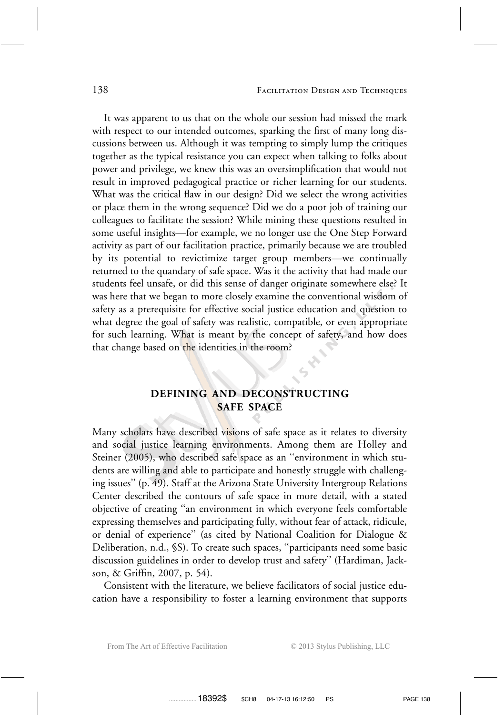It was apparent to us that on the whole our session had missed the mark with respect to our intended outcomes, sparking the first of many long discussions between us. Although it was tempting to simply lump the critiques together as the typical resistance you can expect when talking to folks about power and privilege, we knew this was an oversimplification that would not result in improved pedagogical practice or richer learning for our students. What was the critical flaw in our design? Did we select the wrong activities or place them in the wrong sequence? Did we do a poor job of training our colleagues to facilitate the session? While mining these questions resulted in some useful insights—for example, we no longer use the One Step Forward activity as part of our facilitation practice, primarily because we are troubled by its potential to revictimize target group members—we continually returned to the quandary of safe space. Was it the activity that had made our students feel unsafe, or did this sense of danger originate somewhere else? It was here that we began to more closely examine the conventional wisdom of safety as a prerequisite for effective social justice education and question to what degree the goal of safety was realistic, compatible, or even appropriate for such learning. What is meant by the concept of safety, and how does that change based on the identities in the room?

### **DEFINING AND DECONSTRUCTING SAFE SPACE**

Many scholars have described visions of safe space as it relates to diversity and social justice learning environments. Among them are Holley and Steiner (2005), who described safe space as an ''environment in which students are willing and able to participate and honestly struggle with challenging issues'' (p. 49). Staff at the Arizona State University Intergroup Relations Center described the contours of safe space in more detail, with a stated objective of creating ''an environment in which everyone feels comfortable expressing themselves and participating fully, without fear of attack, ridicule, or denial of experience'' (as cited by National Coalition for Dialogue & Deliberation, n.d., §S). To create such spaces, ''participants need some basic discussion guidelines in order to develop trust and safety'' (Hardiman, Jackson, & Griffin, 2007, p. 54).

Consistent with the literature, we believe facilitators of social justice education have a responsibility to foster a learning environment that supports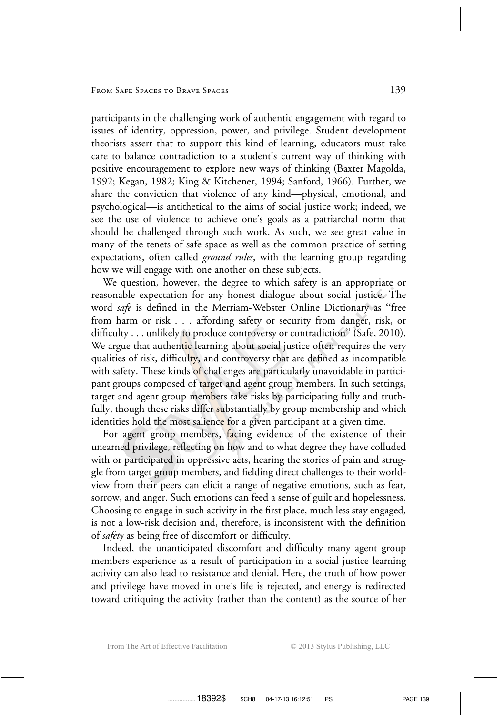participants in the challenging work of authentic engagement with regard to issues of identity, oppression, power, and privilege. Student development theorists assert that to support this kind of learning, educators must take care to balance contradiction to a student's current way of thinking with positive encouragement to explore new ways of thinking (Baxter Magolda, 1992; Kegan, 1982; King & Kitchener, 1994; Sanford, 1966). Further, we share the conviction that violence of any kind—physical, emotional, and psychological—is antithetical to the aims of social justice work; indeed, we see the use of violence to achieve one's goals as a patriarchal norm that should be challenged through such work. As such, we see great value in many of the tenets of safe space as well as the common practice of setting expectations, often called *ground rules*, with the learning group regarding how we will engage with one another on these subjects.

We question, however, the degree to which safety is an appropriate or reasonable expectation for any honest dialogue about social justice. The word *safe* is defined in the Merriam-Webster Online Dictionary as ''free from harm or risk . . . affording safety or security from danger, risk, or difficulty . . . unlikely to produce controversy or contradiction" (Safe, 2010). We argue that authentic learning about social justice often requires the very qualities of risk, difficulty, and controversy that are defined as incompatible with safety. These kinds of challenges are particularly unavoidable in participant groups composed of target and agent group members. In such settings, target and agent group members take risks by participating fully and truthfully, though these risks differ substantially by group membership and which identities hold the most salience for a given participant at a given time.

For agent group members, facing evidence of the existence of their unearned privilege, reflecting on how and to what degree they have colluded with or participated in oppressive acts, hearing the stories of pain and struggle from target group members, and fielding direct challenges to their worldview from their peers can elicit a range of negative emotions, such as fear, sorrow, and anger. Such emotions can feed a sense of guilt and hopelessness. Choosing to engage in such activity in the first place, much less stay engaged, is not a low-risk decision and, therefore, is inconsistent with the definition of *safety* as being free of discomfort or difficulty.

Indeed, the unanticipated discomfort and difficulty many agent group members experience as a result of participation in a social justice learning activity can also lead to resistance and denial. Here, the truth of how power and privilege have moved in one's life is rejected, and energy is redirected toward critiquing the activity (rather than the content) as the source of her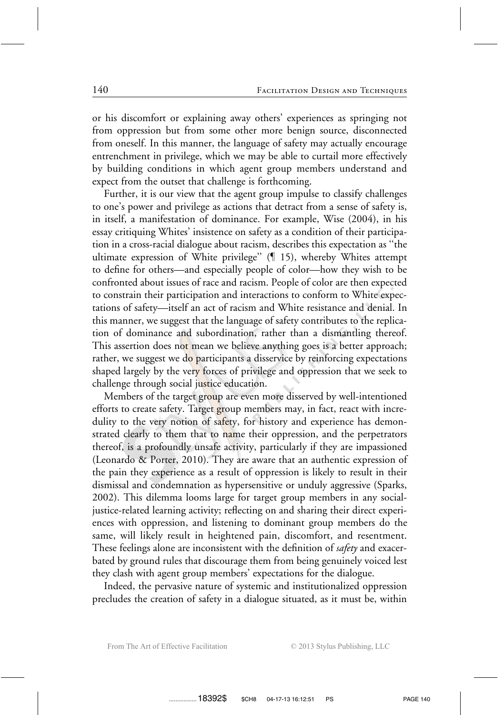or his discomfort or explaining away others' experiences as springing not from oppression but from some other more benign source, disconnected from oneself. In this manner, the language of safety may actually encourage entrenchment in privilege, which we may be able to curtail more effectively by building conditions in which agent group members understand and expect from the outset that challenge is forthcoming.

Further, it is our view that the agent group impulse to classify challenges to one's power and privilege as actions that detract from a sense of safety is, in itself, a manifestation of dominance. For example, Wise (2004), in his essay critiquing Whites' insistence on safety as a condition of their participation in a cross-racial dialogue about racism, describes this expectation as ''the ultimate expression of White privilege"  $($  15), whereby Whites attempt to define for others—and especially people of color—how they wish to be confronted about issues of race and racism. People of color are then expected to constrain their participation and interactions to conform to White expectations of safety—itself an act of racism and White resistance and denial. In this manner, we suggest that the language of safety contributes to the replication of dominance and subordination, rather than a dismantling thereof. This assertion does not mean we believe anything goes is a better approach; rather, we suggest we do participants a disservice by reinforcing expectations shaped largely by the very forces of privilege and oppression that we seek to challenge through social justice education.

Members of the target group are even more disserved by well-intentioned efforts to create safety. Target group members may, in fact, react with incredulity to the very notion of safety, for history and experience has demonstrated clearly to them that to name their oppression, and the perpetrators thereof, is a profoundly unsafe activity, particularly if they are impassioned (Leonardo & Porter, 2010). They are aware that an authentic expression of the pain they experience as a result of oppression is likely to result in their dismissal and condemnation as hypersensitive or unduly aggressive (Sparks, 2002). This dilemma looms large for target group members in any socialjustice-related learning activity; reflecting on and sharing their direct experiences with oppression, and listening to dominant group members do the same, will likely result in heightened pain, discomfort, and resentment. These feelings alone are inconsistent with the definition of *safety* and exacerbated by ground rules that discourage them from being genuinely voiced lest they clash with agent group members' expectations for the dialogue.

Indeed, the pervasive nature of systemic and institutionalized oppression precludes the creation of safety in a dialogue situated, as it must be, within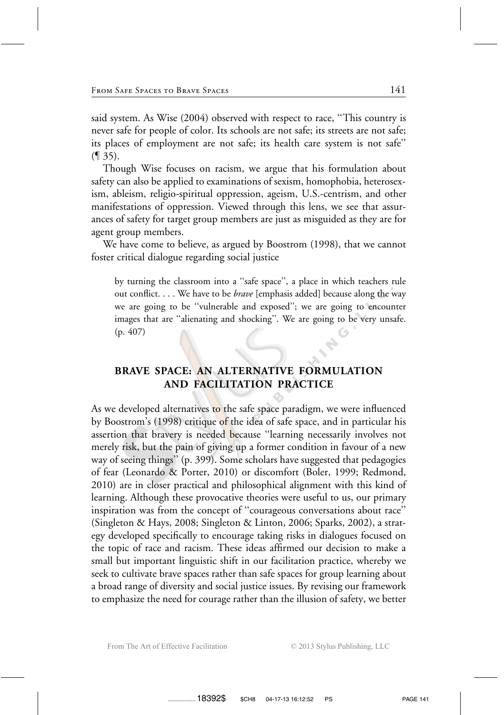said system. As Wise (2004) observed with respect to race, ''This country is never safe for people of color. Its schools are not safe; its streets are not safe; its places of employment are not safe; its health care system is not safe''  $($ [ 35).

Though Wise focuses on racism, we argue that his formulation about safety can also be applied to examinations of sexism, homophobia, heterosexism, ableism, religio-spiritual oppression, ageism, U.S.-centrism, and other manifestations of oppression. Viewed through this lens, we see that assurances of safety for target group members are just as misguided as they are for agent group members.

We have come to believe, as argued by Boostrom (1998), that we cannot foster critical dialogue regarding social justice

by turning the classroom into a ''safe space'', a place in which teachers rule out conflict. . . . We have to be *brave* [emphasis added] because along the way we are going to be ''vulnerable and exposed''; we are going to encounter images that are ''alienating and shocking''. We are going to be very unsafe. (p. 407)

## **BRAVE SPACE: AN ALTERNATIVE FORMULATION AND FACILITATION PRACTICE**

As we developed alternatives to the safe space paradigm, we were influenced by Boostrom's (1998) critique of the idea of safe space, and in particular his assertion that bravery is needed because ''learning necessarily involves not merely risk, but the pain of giving up a former condition in favour of a new way of seeing things'' (p. 399). Some scholars have suggested that pedagogies of fear (Leonardo & Porter, 2010) or discomfort (Boler, 1999; Redmond, 2010) are in closer practical and philosophical alignment with this kind of learning. Although these provocative theories were useful to us, our primary inspiration was from the concept of ''courageous conversations about race'' (Singleton & Hays, 2008; Singleton & Linton, 2006; Sparks, 2002), a strategy developed specifically to encourage taking risks in dialogues focused on the topic of race and racism. These ideas affirmed our decision to make a small but important linguistic shift in our facilitation practice, whereby we seek to cultivate brave spaces rather than safe spaces for group learning about a broad range of diversity and social justice issues. By revising our framework to emphasize the need for courage rather than the illusion of safety, we better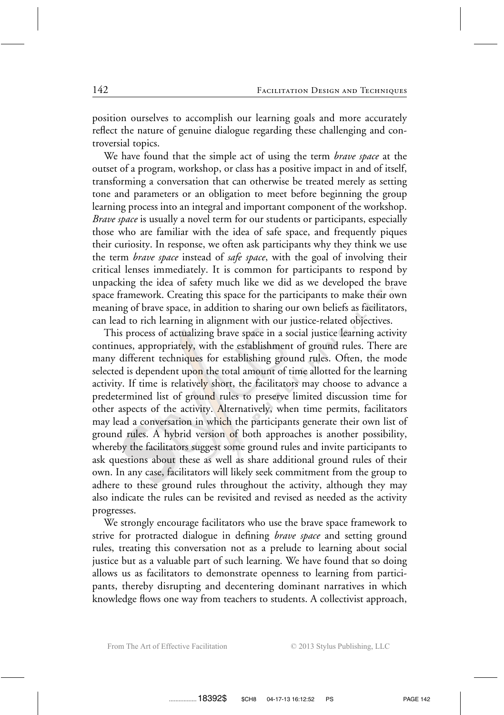position ourselves to accomplish our learning goals and more accurately reflect the nature of genuine dialogue regarding these challenging and controversial topics.

We have found that the simple act of using the term *brave space* at the outset of a program, workshop, or class has a positive impact in and of itself, transforming a conversation that can otherwise be treated merely as setting tone and parameters or an obligation to meet before beginning the group learning process into an integral and important component of the workshop. *Brave space* is usually a novel term for our students or participants, especially those who are familiar with the idea of safe space, and frequently piques their curiosity. In response, we often ask participants why they think we use the term *brave space* instead of *safe space*, with the goal of involving their critical lenses immediately. It is common for participants to respond by unpacking the idea of safety much like we did as we developed the brave space framework. Creating this space for the participants to make their own meaning of brave space, in addition to sharing our own beliefs as facilitators, can lead to rich learning in alignment with our justice-related objectives.

This process of actualizing brave space in a social justice learning activity continues, appropriately, with the establishment of ground rules. There are many different techniques for establishing ground rules. Often, the mode selected is dependent upon the total amount of time allotted for the learning activity. If time is relatively short, the facilitators may choose to advance a predetermined list of ground rules to preserve limited discussion time for other aspects of the activity. Alternatively, when time permits, facilitators may lead a conversation in which the participants generate their own list of ground rules. A hybrid version of both approaches is another possibility, whereby the facilitators suggest some ground rules and invite participants to ask questions about these as well as share additional ground rules of their own. In any case, facilitators will likely seek commitment from the group to adhere to these ground rules throughout the activity, although they may also indicate the rules can be revisited and revised as needed as the activity progresses.

We strongly encourage facilitators who use the brave space framework to strive for protracted dialogue in defining *brave space* and setting ground rules, treating this conversation not as a prelude to learning about social justice but as a valuable part of such learning. We have found that so doing allows us as facilitators to demonstrate openness to learning from participants, thereby disrupting and decentering dominant narratives in which knowledge flows one way from teachers to students. A collectivist approach,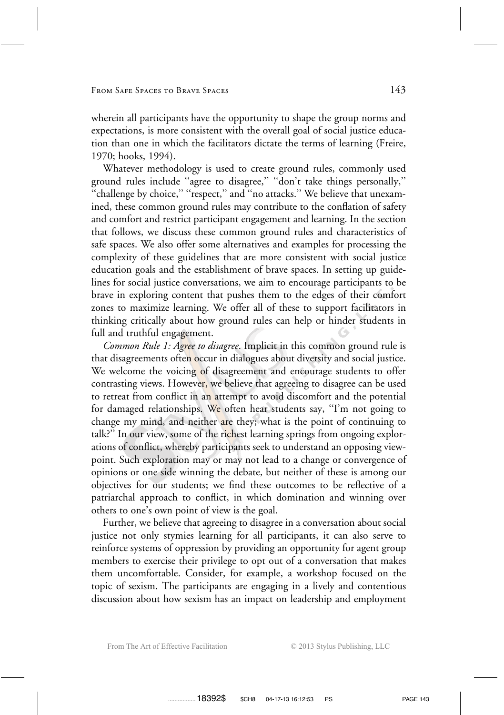wherein all participants have the opportunity to shape the group norms and expectations, is more consistent with the overall goal of social justice education than one in which the facilitators dictate the terms of learning (Freire, 1970; hooks, 1994).

Whatever methodology is used to create ground rules, commonly used ground rules include ''agree to disagree,'' ''don't take things personally,'' "challenge by choice," "respect," and "no attacks." We believe that unexamined, these common ground rules may contribute to the conflation of safety and comfort and restrict participant engagement and learning. In the section that follows, we discuss these common ground rules and characteristics of safe spaces. We also offer some alternatives and examples for processing the complexity of these guidelines that are more consistent with social justice education goals and the establishment of brave spaces. In setting up guidelines for social justice conversations, we aim to encourage participants to be brave in exploring content that pushes them to the edges of their comfort zones to maximize learning. We offer all of these to support facilitators in thinking critically about how ground rules can help or hinder students in full and truthful engagement.

*Common Rule 1: Agree to disagree*. Implicit in this common ground rule is that disagreements often occur in dialogues about diversity and social justice. We welcome the voicing of disagreement and encourage students to offer contrasting views. However, we believe that agreeing to disagree can be used to retreat from conflict in an attempt to avoid discomfort and the potential for damaged relationships. We often hear students say, ''I'm not going to change my mind, and neither are they; what is the point of continuing to talk?" In our view, some of the richest learning springs from ongoing explorations of conflict, whereby participants seek to understand an opposing viewpoint. Such exploration may or may not lead to a change or convergence of opinions or one side winning the debate, but neither of these is among our objectives for our students; we find these outcomes to be reflective of a patriarchal approach to conflict, in which domination and winning over others to one's own point of view is the goal.

Further, we believe that agreeing to disagree in a conversation about social justice not only stymies learning for all participants, it can also serve to reinforce systems of oppression by providing an opportunity for agent group members to exercise their privilege to opt out of a conversation that makes them uncomfortable. Consider, for example, a workshop focused on the topic of sexism. The participants are engaging in a lively and contentious discussion about how sexism has an impact on leadership and employment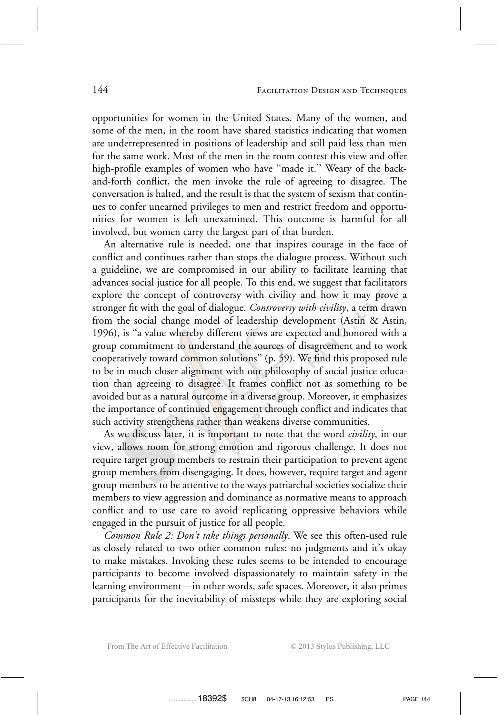opportunities for women in the United States. Many of the women, and some of the men, in the room have shared statistics indicating that women are underrepresented in positions of leadership and still paid less than men for the same work. Most of the men in the room contest this view and offer high-profile examples of women who have "made it." Weary of the backand-forth conflict, the men invoke the rule of agreeing to disagree. The conversation is halted, and the result is that the system of sexism that continues to confer unearned privileges to men and restrict freedom and opportunities for women is left unexamined. This outcome is harmful for all involved, but women carry the largest part of that burden.

An alternative rule is needed, one that inspires courage in the face of conflict and continues rather than stops the dialogue process. Without such a guideline, we are compromised in our ability to facilitate learning that advances social justice for all people. To this end, we suggest that facilitators explore the concept of controversy with civility and how it may prove a stronger fit with the goal of dialogue. *Controversy with civility*, a term drawn from the social change model of leadership development (Astin & Astin, 1996), is ''a value whereby different views are expected and honored with a group commitment to understand the sources of disagreement and to work cooperatively toward common solutions'' (p. 59). We find this proposed rule to be in much closer alignment with our philosophy of social justice education than agreeing to disagree. It frames conflict not as something to be avoided but as a natural outcome in a diverse group. Moreover, it emphasizes the importance of continued engagement through conflict and indicates that such activity strengthens rather than weakens diverse communities.

As we discuss later, it is important to note that the word *civility*, in our view, allows room for strong emotion and rigorous challenge. It does not require target group members to restrain their participation to prevent agent group members from disengaging. It does, however, require target and agent group members to be attentive to the ways patriarchal societies socialize their members to view aggression and dominance as normative means to approach conflict and to use care to avoid replicating oppressive behaviors while engaged in the pursuit of justice for all people.

*Common Rule 2: Don't take things personally*. We see this often-used rule as closely related to two other common rules: no judgments and it's okay to make mistakes. Invoking these rules seems to be intended to encourage participants to become involved dispassionately to maintain safety in the learning environment—in other words, safe spaces. Moreover, it also primes participants for the inevitability of missteps while they are exploring social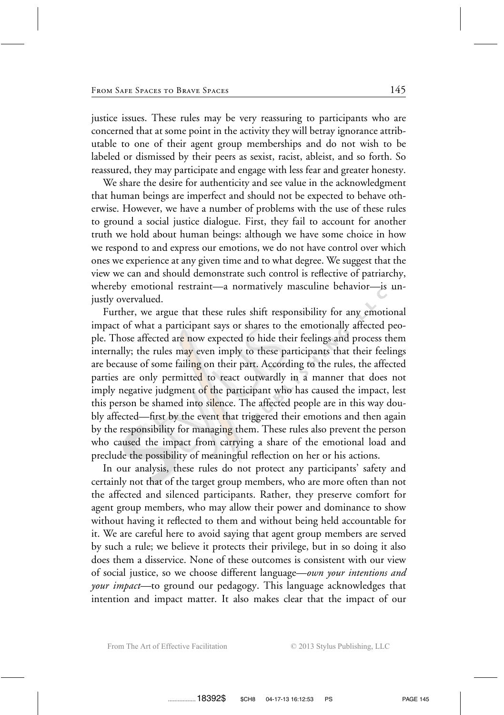justice issues. These rules may be very reassuring to participants who are concerned that at some point in the activity they will betray ignorance attributable to one of their agent group memberships and do not wish to be labeled or dismissed by their peers as sexist, racist, ableist, and so forth. So reassured, they may participate and engage with less fear and greater honesty.

We share the desire for authenticity and see value in the acknowledgment that human beings are imperfect and should not be expected to behave otherwise. However, we have a number of problems with the use of these rules to ground a social justice dialogue. First, they fail to account for another truth we hold about human beings: although we have some choice in how we respond to and express our emotions, we do not have control over which ones we experience at any given time and to what degree. We suggest that the view we can and should demonstrate such control is reflective of patriarchy, whereby emotional restraint—a normatively masculine behavior—is unjustly overvalued.

Further, we argue that these rules shift responsibility for any emotional impact of what a participant says or shares to the emotionally affected people. Those affected are now expected to hide their feelings and process them internally; the rules may even imply to these participants that their feelings are because of some failing on their part. According to the rules, the affected parties are only permitted to react outwardly in a manner that does not imply negative judgment of the participant who has caused the impact, lest this person be shamed into silence. The affected people are in this way doubly affected—first by the event that triggered their emotions and then again by the responsibility for managing them. These rules also prevent the person who caused the impact from carrying a share of the emotional load and preclude the possibility of meaningful reflection on her or his actions.

In our analysis, these rules do not protect any participants' safety and certainly not that of the target group members, who are more often than not the affected and silenced participants. Rather, they preserve comfort for agent group members, who may allow their power and dominance to show without having it reflected to them and without being held accountable for it. We are careful here to avoid saying that agent group members are served by such a rule; we believe it protects their privilege, but in so doing it also does them a disservice. None of these outcomes is consistent with our view of social justice, so we choose different language—*own your intentions and your impact—*to ground our pedagogy. This language acknowledges that intention and impact matter. It also makes clear that the impact of our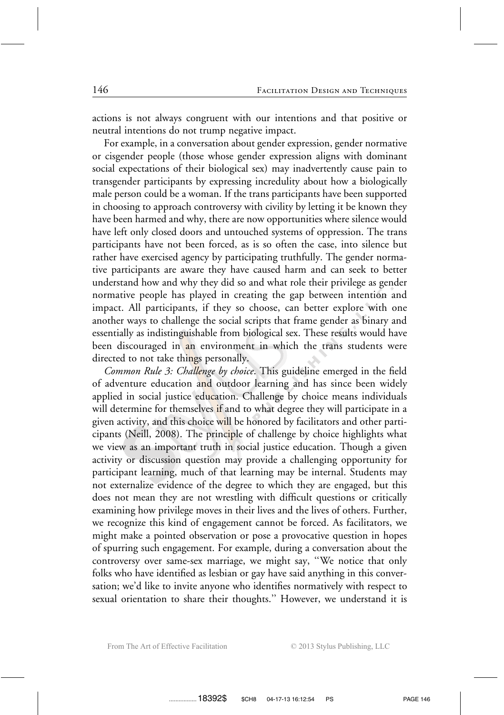actions is not always congruent with our intentions and that positive or neutral intentions do not trump negative impact.

For example, in a conversation about gender expression, gender normative or cisgender people (those whose gender expression aligns with dominant social expectations of their biological sex) may inadvertently cause pain to transgender participants by expressing incredulity about how a biologically male person could be a woman. If the trans participants have been supported in choosing to approach controversy with civility by letting it be known they have been harmed and why, there are now opportunities where silence would have left only closed doors and untouched systems of oppression. The trans participants have not been forced, as is so often the case, into silence but rather have exercised agency by participating truthfully. The gender normative participants are aware they have caused harm and can seek to better understand how and why they did so and what role their privilege as gender normative people has played in creating the gap between intention and impact. All participants, if they so choose, can better explore with one another ways to challenge the social scripts that frame gender as binary and essentially as indistinguishable from biological sex. These results would have been discouraged in an environment in which the trans students were directed to not take things personally.

*Common Rule 3: Challenge by choice*. This guideline emerged in the field of adventure education and outdoor learning and has since been widely applied in social justice education. Challenge by choice means individuals will determine for themselves if and to what degree they will participate in a given activity, and this choice will be honored by facilitators and other participants (Neill, 2008). The principle of challenge by choice highlights what we view as an important truth in social justice education. Though a given activity or discussion question may provide a challenging opportunity for participant learning, much of that learning may be internal. Students may not externalize evidence of the degree to which they are engaged, but this does not mean they are not wrestling with difficult questions or critically examining how privilege moves in their lives and the lives of others. Further, we recognize this kind of engagement cannot be forced. As facilitators, we might make a pointed observation or pose a provocative question in hopes of spurring such engagement. For example, during a conversation about the controversy over same-sex marriage, we might say, ''We notice that only folks who have identified as lesbian or gay have said anything in this conversation; we'd like to invite anyone who identifies normatively with respect to sexual orientation to share their thoughts.'' However, we understand it is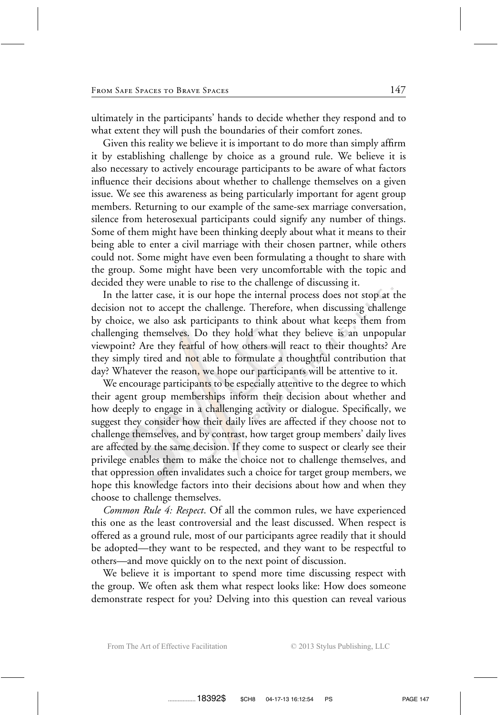ultimately in the participants' hands to decide whether they respond and to what extent they will push the boundaries of their comfort zones.

Given this reality we believe it is important to do more than simply affirm it by establishing challenge by choice as a ground rule. We believe it is also necessary to actively encourage participants to be aware of what factors influence their decisions about whether to challenge themselves on a given issue. We see this awareness as being particularly important for agent group members. Returning to our example of the same-sex marriage conversation, silence from heterosexual participants could signify any number of things. Some of them might have been thinking deeply about what it means to their being able to enter a civil marriage with their chosen partner, while others could not. Some might have even been formulating a thought to share with the group. Some might have been very uncomfortable with the topic and decided they were unable to rise to the challenge of discussing it.

In the latter case, it is our hope the internal process does not stop at the decision not to accept the challenge. Therefore, when discussing challenge by choice, we also ask participants to think about what keeps them from challenging themselves. Do they hold what they believe is an unpopular viewpoint? Are they fearful of how others will react to their thoughts? Are they simply tired and not able to formulate a thoughtful contribution that day? Whatever the reason, we hope our participants will be attentive to it.

We encourage participants to be especially attentive to the degree to which their agent group memberships inform their decision about whether and how deeply to engage in a challenging activity or dialogue. Specifically, we suggest they consider how their daily lives are affected if they choose not to challenge themselves, and by contrast, how target group members' daily lives are affected by the same decision. If they come to suspect or clearly see their privilege enables them to make the choice not to challenge themselves, and that oppression often invalidates such a choice for target group members, we hope this knowledge factors into their decisions about how and when they choose to challenge themselves.

*Common Rule 4: Respect*. Of all the common rules, we have experienced this one as the least controversial and the least discussed. When respect is offered as a ground rule, most of our participants agree readily that it should be adopted—they want to be respected, and they want to be respectful to others—and move quickly on to the next point of discussion.

We believe it is important to spend more time discussing respect with the group. We often ask them what respect looks like: How does someone demonstrate respect for you? Delving into this question can reveal various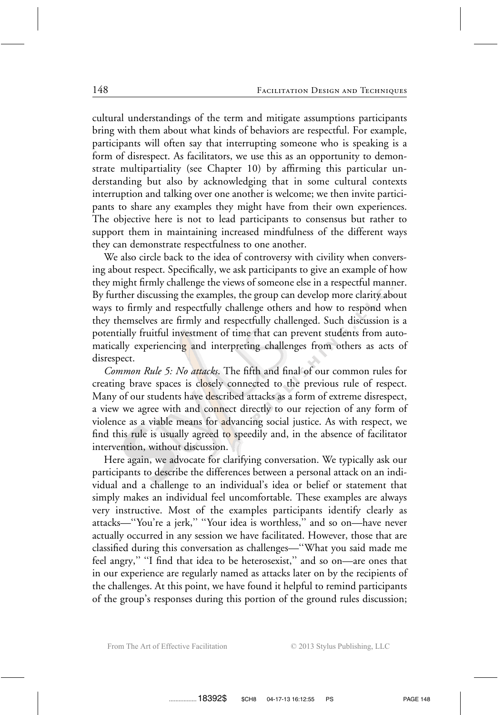cultural understandings of the term and mitigate assumptions participants bring with them about what kinds of behaviors are respectful. For example, participants will often say that interrupting someone who is speaking is a form of disrespect. As facilitators, we use this as an opportunity to demonstrate multipartiality (see Chapter 10) by affirming this particular understanding but also by acknowledging that in some cultural contexts interruption and talking over one another is welcome; we then invite participants to share any examples they might have from their own experiences. The objective here is not to lead participants to consensus but rather to support them in maintaining increased mindfulness of the different ways they can demonstrate respectfulness to one another.

We also circle back to the idea of controversy with civility when conversing about respect. Specifically, we ask participants to give an example of how they might firmly challenge the views of someone else in a respectful manner. By further discussing the examples, the group can develop more clarity about ways to firmly and respectfully challenge others and how to respond when they themselves are firmly and respectfully challenged. Such discussion is a potentially fruitful investment of time that can prevent students from automatically experiencing and interpreting challenges from others as acts of disrespect.

*Common Rule 5: No attacks*. The fifth and final of our common rules for creating brave spaces is closely connected to the previous rule of respect. Many of our students have described attacks as a form of extreme disrespect, a view we agree with and connect directly to our rejection of any form of violence as a viable means for advancing social justice. As with respect, we find this rule is usually agreed to speedily and, in the absence of facilitator intervention, without discussion.

Here again, we advocate for clarifying conversation. We typically ask our participants to describe the differences between a personal attack on an individual and a challenge to an individual's idea or belief or statement that simply makes an individual feel uncomfortable. These examples are always very instructive. Most of the examples participants identify clearly as attacks—''You're a jerk,'' ''Your idea is worthless,'' and so on—have never actually occurred in any session we have facilitated. However, those that are classified during this conversation as challenges—''What you said made me feel angry,'' ''I find that idea to be heterosexist,'' and so on—are ones that in our experience are regularly named as attacks later on by the recipients of the challenges. At this point, we have found it helpful to remind participants of the group's responses during this portion of the ground rules discussion;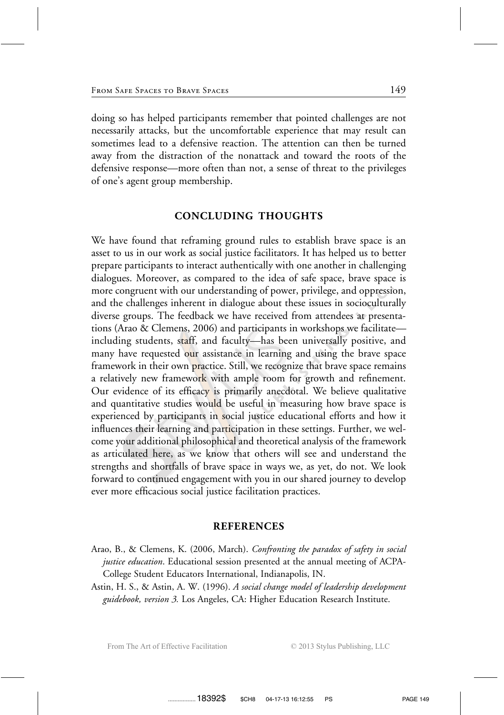doing so has helped participants remember that pointed challenges are not necessarily attacks, but the uncomfortable experience that may result can sometimes lead to a defensive reaction. The attention can then be turned away from the distraction of the nonattack and toward the roots of the defensive response—more often than not, a sense of threat to the privileges of one's agent group membership.

### **CONCLUDING THOUGHTS**

We have found that reframing ground rules to establish brave space is an asset to us in our work as social justice facilitators. It has helped us to better prepare participants to interact authentically with one another in challenging dialogues. Moreover, as compared to the idea of safe space, brave space is more congruent with our understanding of power, privilege, and oppression, and the challenges inherent in dialogue about these issues in socioculturally diverse groups. The feedback we have received from attendees at presentations (Arao & Clemens, 2006) and participants in workshops we facilitate including students, staff, and faculty—has been universally positive, and many have requested our assistance in learning and using the brave space framework in their own practice. Still, we recognize that brave space remains a relatively new framework with ample room for growth and refinement. Our evidence of its efficacy is primarily anecdotal. We believe qualitative and quantitative studies would be useful in measuring how brave space is experienced by participants in social justice educational efforts and how it influences their learning and participation in these settings. Further, we welcome your additional philosophical and theoretical analysis of the framework as articulated here, as we know that others will see and understand the strengths and shortfalls of brave space in ways we, as yet, do not. We look forward to continued engagement with you in our shared journey to develop ever more efficacious social justice facilitation practices.

#### **REFERENCES**

- Arao, B., & Clemens, K. (2006, March). *Confronting the paradox of safety in social justice education*. Educational session presented at the annual meeting of ACPA-College Student Educators International, Indianapolis, IN.
- Astin, H. S., & Astin, A. W. (1996). *A social change model of leadership development guidebook, version 3.* Los Angeles, CA: Higher Education Research Institute.